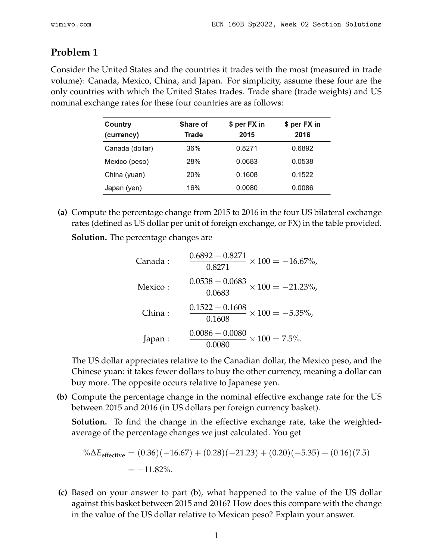## **Problem 1**

Consider the United States and the countries it trades with the most (measured in trade volume): Canada, Mexico, China, and Japan. For simplicity, assume these four are the only countries with which the United States trades. Trade share (trade weights) and US nominal exchange rates for these four countries are as follows:

| Country<br>(currency) | Share of<br>Trade | \$ per FX in<br>2015 | \$ per FX in<br>2016 |
|-----------------------|-------------------|----------------------|----------------------|
| Canada (dollar)       | 36%               | 0.8271               | 0.6892               |
| Mexico (peso)         | 28%               | 0.0683               | 0.0538               |
| China (yuan)          | 20%               | 0.1608               | 0.1522               |
| Japan (yen)           | 16%               | 0.0080               | 0.0086               |

**(a)** Compute the percentage change from 2015 to 2016 in the four US bilateral exchange rates (defined as US dollar per unit of foreign exchange, or FX) in the table provided.

**Solution.** The percentage changes are

| Canada : | $\frac{0.6892 - 0.8271}{0.8271} \times 100 = -16.67\%,$ |
|----------|---------------------------------------------------------|
| Mexico:  | $\frac{0.0538 - 0.0683}{0.0683} \times 100 = -21.23\%,$ |
| China:   | $\frac{0.1522 - 0.1608}{0.1608} \times 100 = -5.35\%,$  |
| Japan:   | $\frac{0.0086 - 0.0080}{0.0080} \times 100 = 7.5\%.$    |

The US dollar appreciates relative to the Canadian dollar, the Mexico peso, and the Chinese yuan: it takes fewer dollars to buy the other currency, meaning a dollar can buy more. The opposite occurs relative to Japanese yen.

**(b)** Compute the percentage change in the nominal effective exchange rate for the US between 2015 and 2016 (in US dollars per foreign currency basket).

**Solution.** To find the change in the effective exchange rate, take the weightedaverage of the percentage changes we just calculated. You get

$$
\% \Delta E_{\text{effective}} = (0.36)(-16.67) + (0.28)(-21.23) + (0.20)(-5.35) + (0.16)(7.5)
$$
  
= -11.82%.

**(c)** Based on your answer to part (b), what happened to the value of the US dollar against this basket between 2015 and 2016? How does this compare with the change in the value of the US dollar relative to Mexican peso? Explain your answer.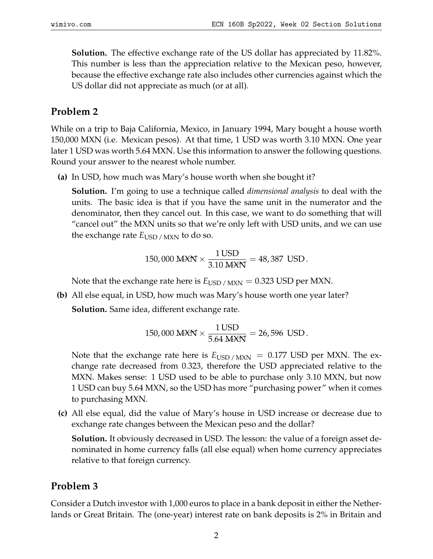**Solution.** The effective exchange rate of the US dollar has appreciated by 11.82%. This number is less than the appreciation relative to the Mexican peso, however, because the effective exchange rate also includes other currencies against which the US dollar did not appreciate as much (or at all).

## **Problem 2**

While on a trip to Baja California, Mexico, in January 1994, Mary bought a house worth 150,000 MXN (i.e. Mexican pesos). At that time, 1 USD was worth 3.10 MXN. One year later 1 USD was worth 5.64 MXN. Use this information to answer the following questions. Round your answer to the nearest whole number.

**(a)** In USD, how much was Mary's house worth when she bought it?

**Solution.** I'm going to use a technique called *dimensional analysis* to deal with the units. The basic idea is that if you have the same unit in the numerator and the denominator, then they cancel out. In this case, we want to do something that will "cancel out" the MXN units so that we're only left with USD units, and we can use the exchange rate  $E_{\text{USD}}$  /  $_{\text{MXN}}$  to do so.

150,000 MXX 
$$
\times \frac{1 \text{ USD}}{3.10 MXX} = 48,387 \text{ USD}.
$$

Note that the exchange rate here is  $E_{\text{USD}}/M_{\text{XN}} = 0.323 \text{ USD}$  per MXN.

**(b)** All else equal, in USD, how much was Mary's house worth one year later? **Solution.** Same idea, different exchange rate.

150,000 M 
$$
\times \frac{1 \text{ USD}}{5.64 M \times N} = 26,596 \text{ USD}.
$$

Note that the exchange rate here is  $E_{\text{USD}/\text{MXN}} = 0.177 \text{ USD}$  per MXN. The exchange rate decreased from 0.323, therefore the USD appreciated relative to the MXN. Makes sense: 1 USD used to be able to purchase only 3.10 MXN, but now 1 USD can buy 5.64 MXN, so the USD has more "purchasing power" when it comes to purchasing MXN.

**(c)** All else equal, did the value of Mary's house in USD increase or decrease due to exchange rate changes between the Mexican peso and the dollar?

**Solution.** It obviously decreased in USD. The lesson: the value of a foreign asset denominated in home currency falls (all else equal) when home currency appreciates relative to that foreign currency.

## **Problem 3**

Consider a Dutch investor with 1,000 euros to place in a bank deposit in either the Netherlands or Great Britain. The (one-year) interest rate on bank deposits is 2% in Britain and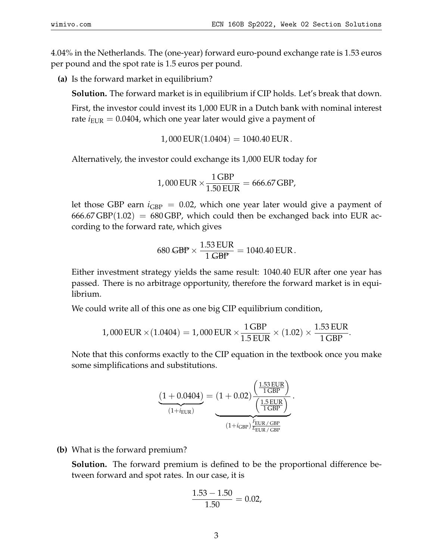4.04% in the Netherlands. The (one-year) forward euro-pound exchange rate is 1.53 euros per pound and the spot rate is 1.5 euros per pound.

**(a)** Is the forward market in equilibrium?

**Solution.** The forward market is in equilibrium if CIP holds. Let's break that down.

First, the investor could invest its 1,000 EUR in a Dutch bank with nominal interest rate  $i_{\text{EUR}} = 0.0404$ , which one year later would give a payment of

 $1,000$  EUR $(1.0404) = 1040.40$  EUR.

Alternatively, the investor could exchange its 1,000 EUR today for

$$
1,000 \text{ EUR} \times \frac{1 \text{ GBP}}{1.50 \text{ EUR}} = 666.67 \text{ GBP},
$$

let those GBP earn  $i_{\text{GBP}} = 0.02$ , which one year later would give a payment of  $666.67$  GBP $(1.02)$  = 680 GBP, which could then be exchanged back into EUR according to the forward rate, which gives

$$
680\,\text{GBP} \times \frac{1.53\,\text{EUR}}{1\,\text{GBP}} = 1040.40\,\text{EUR}.
$$

Either investment strategy yields the same result: 1040.40 EUR after one year has passed. There is no arbitrage opportunity, therefore the forward market is in equilibrium.

We could write all of this one as one big CIP equilibrium condition,

$$
1,000 \text{ EUR} \times (1.0404) = 1,000 \text{ EUR} \times \frac{1 \text{ GBP}}{1.5 \text{ EUR}} \times (1.02) \times \frac{1.53 \text{ EUR}}{1 \text{ GBP}}.
$$

Note that this conforms exactly to the CIP equation in the textbook once you make some simplifications and substitutions.

$$
\underbrace{(1+0.0404)}_{(1+i_{\text{EUR}})} = (1+0.02) \underbrace{\left(\frac{1.53 \text{ EUR}}{1 \text{ GBP}}\right)}_{(1+i_{\text{GBP}}) \frac{F_{\text{EUR}}}{F_{\text{EUR}}/\text{ GBP}}}.
$$

**(b)** What is the forward premium?

**Solution.** The forward premium is defined to be the proportional difference between forward and spot rates. In our case, it is

$$
\frac{1.53 - 1.50}{1.50} = 0.02,
$$